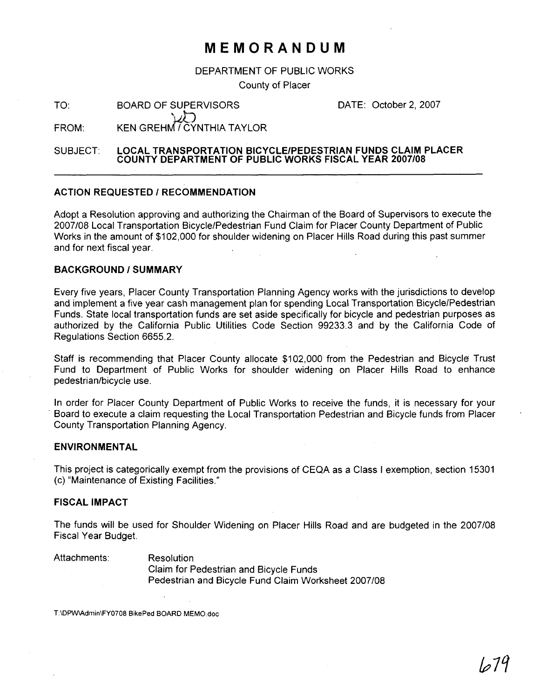## **MEMORANDUM**

DEPARTMENT OF PUBLIC WORKS

County of Placer

TO: BOARD OF SUPERVISORS \\* **ij-J** 

DATE: October 2, 2007

 $FROM:$  KEN GREHM $\widetilde{C}$ YNTHIA TAYLOR

SUBJECT: **LOCAL TRANSPORTATION BICYCLEIPEDESTRIAN FUNDS CLAIM PLACER COUNTY DEPARTMENT OF PUBLIC WORKS FISCAL YEAR 2007108** 

#### **ACTION REQUESTED / RECOMMENDATION**

Adopt a Resolution approving and authorizing the Chairman of the Board of Supervisors to execute the 2007108 Local Transportation BicycleIPedestrian Fund Claim for Placer County Department of Public Works in the amount of \$102,000 for shoulder widening on Placer Hills Road during this past summer and for next fiscal year.

#### **BACKGROUND I SUMMARY**

Every five years, Placer County Transportation Planning Agency works with the jurisdictions to develop and implement a five year cash management plan for spending Local Transportation BicyclelPedestrian Funds. State local transportation funds are set aside specifically for bicycle and pedestrian purposes as authorized by the California Public Utilities Code Section 99233.3 and by the California Code of Regulations Section 6655.2.

Staff is recommending that Placer County allocate \$102,000 from the Pedestrian and Bicycle Trust Fund to Department of Public Works for shoulder widening on Placer Hills Road to enhance pedestrian/bicycle use.

In order for Placer County Department of Public Works to receive the funds, it is necessary for your Board to execute a claim requesting the Local Transportation Pedestrian and Bicycle funds from Placer County Transportation Planning Agency.

#### **ENVIRONMENTAL**

This project is categorically exempt from the provisions of CEQA as a Class I exemption, section 15301 (c) "Maintenance of Existing Facilities."

#### **FISCAL IMPACT**

The funds will be used for Shoulder Widening on Placer Hills Road and are budgeted in the 2007108 Fiscal Year Budget.

Attachments: Resolution

Claim for Pedestrian and Bicycle Funds Pedestrian and Bicycle Fund Claim Worksheet 2007/08

**T:\DPW\Admin\FYO708 BikePed BOARD MEMO.doc**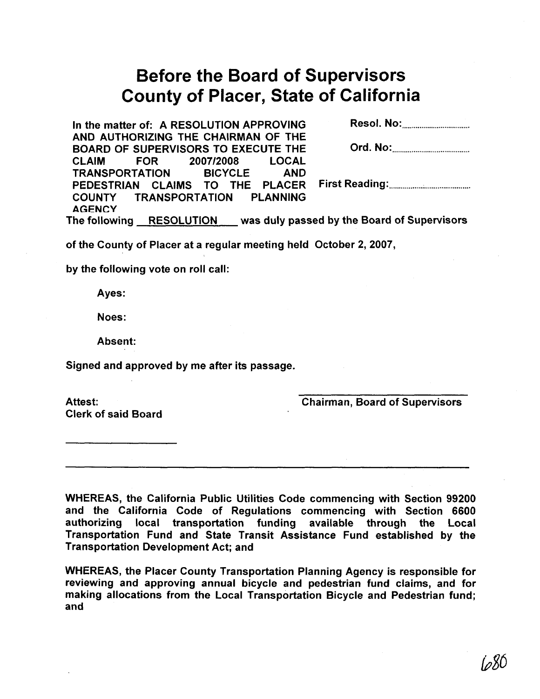# Before the Board of Supervisors County of Placer, State of California

| In the matter of: A RESOLUTION APPROVING                                                                            |  |
|---------------------------------------------------------------------------------------------------------------------|--|
| AND AUTHORIZING THE CHAIRMAN OF THE                                                                                 |  |
| <b>BOARD OF SUPERVISORS TO EXECUTE THE</b>                                                                          |  |
| CLAIM FOR 2007/2008 LOCAL                                                                                           |  |
| TRANSPORTATION BICYCLE AND                                                                                          |  |
| PEDESTRIAN CLAIMS TO THE PLACER                                                                                     |  |
| COUNTY TRANSPORTATION PLANNING                                                                                      |  |
| <b>AGENCY</b>                                                                                                       |  |
| $\mathsf{F}_{\mathsf{A}}$ following $\mathsf{DECOL}$ LITION $\mathsf{L}$ was duly necessable the Poem of Cunemicate |  |

The following RESOLUTION was duly passed by the Board of Supervisors

of the County of Placer at a regular meeting held October **2,2007,** 

by the following vote on roll call:

Ayes:

Noes:

Absent:

Signed and approved by me after its passage.

Attest: Clerk of said Board Chairman, Board of Supervisors

WHEREAS, the California Public Utilities Code commencing with Section **99200**  and the California Code of Regulations commencing with Section **6600**  authorizing local transportation funding available through the Local Transportation Fund and State Transit Assistance Fund established by the Transportation Development Act; and

WHEREAS, the Placer County Transportation Planning Agency is responsible for reviewing and approving annual bicycle and pedestrian fund claims, and for making allocations from the Local Transportation Bicycle and Pedestrian fund; and

*(7*80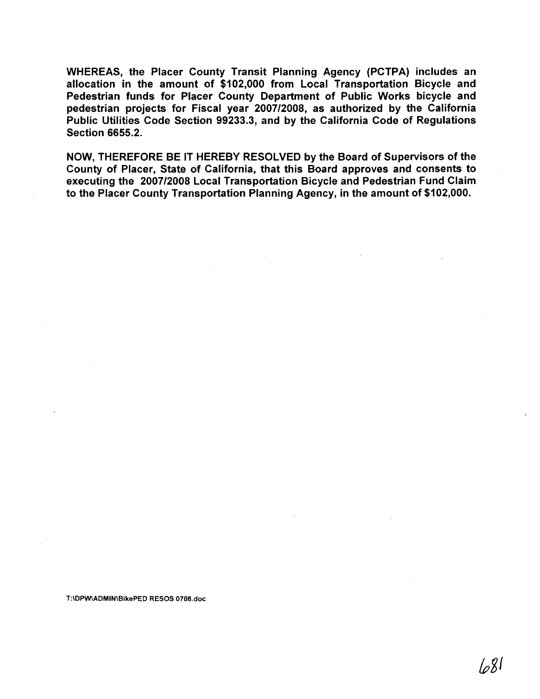WHEREAS, the Placer County Transit Planning Agency (PCTPA) includes an allocation in the amount of \$102,000 from Local Transportation Bicycle and Pedestrian funds for Placer County Department of Public Works bicycle and pedestrian projects for Fiscal year 200712008, as authorized by the California Public Utilities Code Section 99233.3, and by the California Code of Regulations Section 6655.2.

NOW, THEREFORE BE IT HEREBY RESOLVED by the Board of Supervisors of the County of Placer, State of California, that this Board approves and consents to executing the 200712008 Local Transportation Bicycle and Pedestrian Fund Claim to the Placer County Transportation Planning Agency, in the amount of \$102,000.

**T:\DPW\ADMIN\BikePED RESOS 0708.doc** 

ا8م/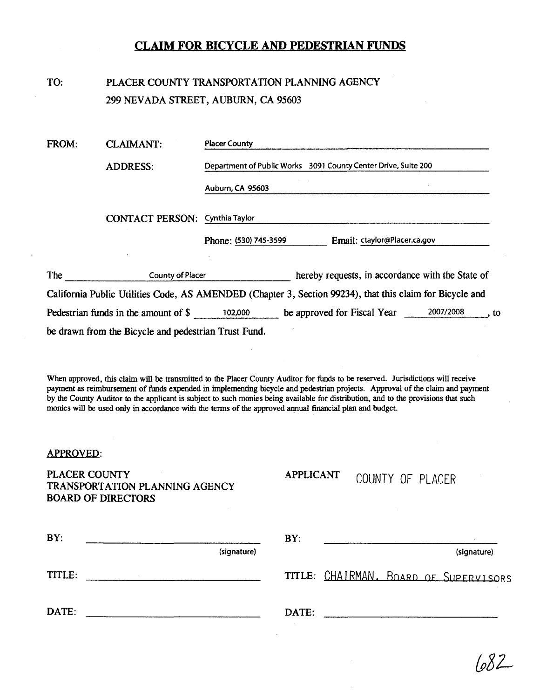## **CLAIM FOR BICYCLE AND PEDESTRIAN FUNDS**

## TO: PLACER COUNTY TRANSPORTATION PLANNING AGENCY 299 NEVADA STREET, AUBURN, CA 95603

| FROM: | <b>CLAIMANT:</b>                                     | <b>Placer County</b>                                                                                     |  |  |
|-------|------------------------------------------------------|----------------------------------------------------------------------------------------------------------|--|--|
|       | <b>ADDRESS:</b>                                      | Department of Public Works 3091 County Center Drive, Suite 200                                           |  |  |
|       |                                                      | Auburn, CA 95603                                                                                         |  |  |
|       | <b>CONTACT PERSON: Cynthia Taylor</b>                |                                                                                                          |  |  |
|       |                                                      | Email: ctaylor@Placer.ca.gov<br>Phone: (530) 745-3599                                                    |  |  |
|       |                                                      |                                                                                                          |  |  |
| The   | <b>County of Placer</b>                              | hereby requests, in accordance with the State of                                                         |  |  |
|       |                                                      | California Public Utilities Code, AS AMENDED (Chapter 3, Section 99234), that this claim for Bicycle and |  |  |
|       | Pedestrian funds in the amount of \$                 | 2007/2008<br>be approved for Fiscal Year<br>102,000<br>. to                                              |  |  |
|       | be drawn from the Bicycle and pedestrian Trust Fund. |                                                                                                          |  |  |

When approved, this claim will be transmitted to the Placer County Auditor for funds to be reserved. Jurisdictions will receive payment as reimbursement of **funds** expended in implementing bicycle and pedestrian projects. Approval of the claim and payment by the County Auditor to the applicant is subject to such monies beiig available for distribution, and to the provisions that such monies will be used only in accordance with the terms of the approved annual financial plan and budget.

### APPROVED:

PLACER COUNTY TRANSPORTATION PLANNING AGENCY BOARD OF DIRECTORS

**APPLICANT** 

## COUNTY OF PLACER

| BY:    |             |       |                                       | $\bullet$   |  |
|--------|-------------|-------|---------------------------------------|-------------|--|
|        | (signature) |       |                                       | (signature) |  |
| TITLE: |             |       | TITLE: CHAIRMAN. BOARD OF SUPERVISORS |             |  |
| DATE:  |             | DATE: |                                       |             |  |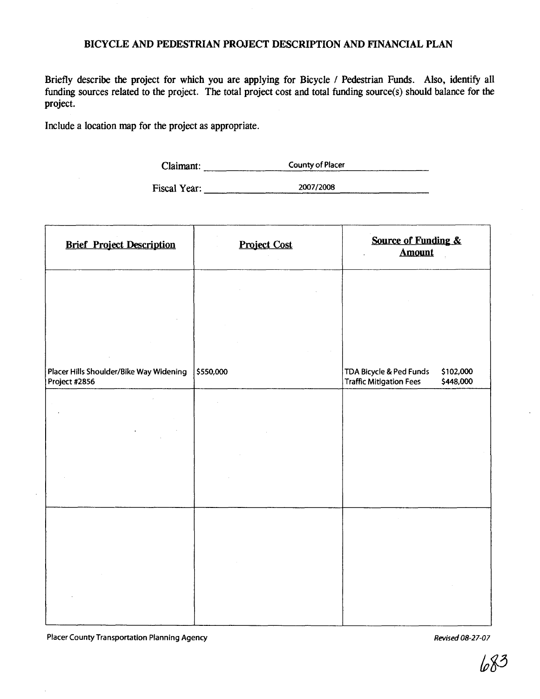## BICYCLE AND PEDESTRIAN PROJECT DESCRIPTION AND FINANCIAL PLAN

Briefly describe the project for which you are applying for Bicycle 1 Pedestrian Funds. Also, identify all funding sources related to the project. The total project cost and total funding source(s) should balance for the project.

Include a location map for the project as appropriate.

Claimant: **County of Placer** 

Fiscal Year: **2007/2008** 

| <b>Brief Project Description</b>                         | <b>Project Cost</b> | Source of Funding &<br><b>Amount</b>                                                |
|----------------------------------------------------------|---------------------|-------------------------------------------------------------------------------------|
|                                                          |                     |                                                                                     |
|                                                          |                     |                                                                                     |
| Placer Hills Shoulder/Bike Way Widening<br>Project #2856 | \$550,000           | TDA Bicycle & Ped Funds<br>\$102,000<br><b>Traffic Mitigation Fees</b><br>\$448,000 |
|                                                          |                     |                                                                                     |
|                                                          |                     |                                                                                     |
|                                                          |                     |                                                                                     |
|                                                          |                     |                                                                                     |
|                                                          |                     |                                                                                     |
|                                                          |                     |                                                                                     |

Placer County Transportation Planning Agency *Revised 08-27-07* **Revised 08-27-07**